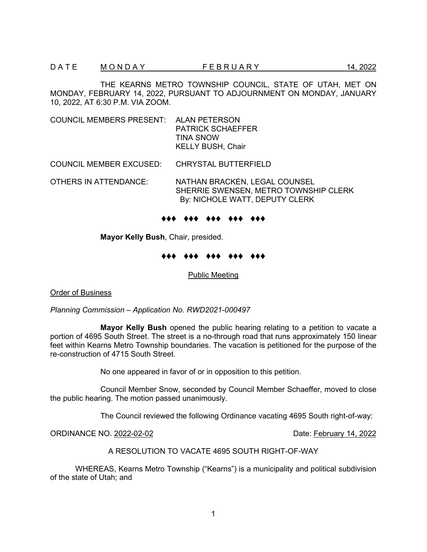THE KEARNS METRO TOWNSHIP COUNCIL, STATE OF UTAH, MET ON MONDAY, FEBRUARY 14, 2022, PURSUANT TO ADJOURNMENT ON MONDAY, JANUARY 10, 2022, AT 6:30 P.M. VIA ZOOM.

COUNCIL MEMBERS PRESENT: ALAN PETERSON PATRICK SCHAEFFER TINA SNOW KELLY BUSH, Chair

COUNCIL MEMBER EXCUSED: CHRYSTAL BUTTERFIELD

OTHERS IN ATTENDANCE: NATHAN BRACKEN, LEGAL COUNSEL SHERRIE SWENSEN, METRO TOWNSHIP CLERK By: NICHOLE WATT, DEPUTY CLERK

♦♦♦ ♦♦♦ ♦♦♦ ♦♦♦ ♦♦♦

**Mayor Kelly Bush**, Chair, presided.

#### ♦♦♦ ♦♦♦ ♦♦♦ ♦♦♦ ♦♦♦

Public Meeting

Order of Business

*Planning Commission – Application No. RWD2021-000497*

**Mayor Kelly Bush** opened the public hearing relating to a petition to vacate a portion of 4695 South Street. The street is a no-through road that runs approximately 150 linear feet within Kearns Metro Township boundaries. The vacation is petitioned for the purpose of the re-construction of 4715 South Street.

No one appeared in favor of or in opposition to this petition.

Council Member Snow, seconded by Council Member Schaeffer, moved to close the public hearing. The motion passed unanimously.

The Council reviewed the following Ordinance vacating 4695 South right-of-way:

ORDINANCE NO. 2022-02-02 Date: February 14, 2022

A RESOLUTION TO VACATE 4695 SOUTH RIGHT-OF-WAY

WHEREAS, Kearns Metro Township ("Kearns") is a municipality and political subdivision of the state of Utah; and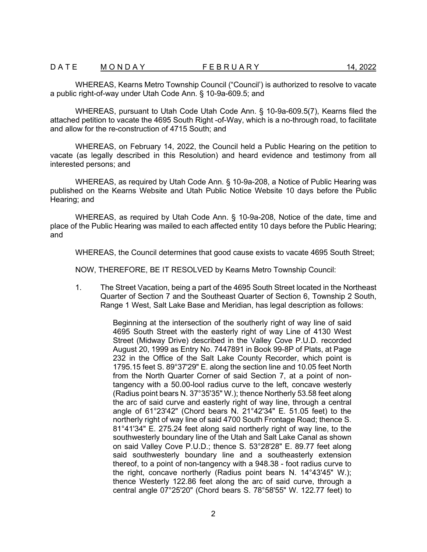WHEREAS, Kearns Metro Township Council ("Council') is authorized to resolve to vacate a public right-of-way under Utah Code Ann. § 10-9a-609.5; and

WHEREAS, pursuant to Utah Code Utah Code Ann. § 10-9a-609.5(7), Kearns filed the attached petition to vacate the 4695 South Right -of-Way, which is a no-through road, to facilitate and allow for the re-construction of 4715 South; and

WHEREAS, on February 14, 2022, the Council held a Public Hearing on the petition to vacate (as legally described in this Resolution) and heard evidence and testimony from all interested persons; and

WHEREAS, as required by Utah Code Ann. § 10-9a-208, a Notice of Public Hearing was published on the Kearns Website and Utah Public Notice Website 10 days before the Public Hearing; and

WHEREAS, as required by Utah Code Ann. § 10-9a-208, Notice of the date, time and place of the Public Hearing was mailed to each affected entity 10 days before the Public Hearing; and

WHEREAS, the Council determines that good cause exists to vacate 4695 South Street;

NOW, THEREFORE, BE IT RESOLVED by Kearns Metro Township Council:

1. The Street Vacation, being a part of the 4695 South Street located in the Northeast Quarter of Section 7 and the Southeast Quarter of Section 6, Township 2 South, Range 1 West, Salt Lake Base and Meridian, has legal description as follows:

> Beginning at the intersection of the southerly right of way line of said 4695 South Street with the easterly right of way Line of 4130 West Street (Midway Drive) described in the Valley Cove P.U.D. recorded August 20, 1999 as Entry No. 7447891 in Book 99-8P of Plats, at Page 232 in the Office of the Salt Lake County Recorder, which point is 1795.15 feet S. 89°37'29" E. along the section line and 10.05 feet North from the North Quarter Corner of said Section 7, at a point of nontangency with a 50.00-lool radius curve to the left, concave westerly (Radius point bears N. 37°35'35" W.); thence Northerly 53.58 feet along the arc of said curve and easterly right of way line, through a central angle of 61°23'42" (Chord bears N. 21°42'34" E. 51.05 feet) to the northerly right of way line of said 4700 South Frontage Road; thence S. 81°41'34" E. 275.24 feet along said northerly right of way line, to the southwesterly boundary line of the Utah and Salt Lake Canal as shown on said Valley Cove P.U.D.; thence S. 53°28'28" E. 89.77 feet along said southwesterly boundary line and a southeasterly extension thereof, to a point of non-tangency with a 948.38 - foot radius curve to the right, concave northerly (Radius point bears N. 14°43'45" W.); thence Westerly 122.86 feet along the arc of said curve, through a central angle 07°25'20" (Chord bears S. 78°58'55" W. 122.77 feet) to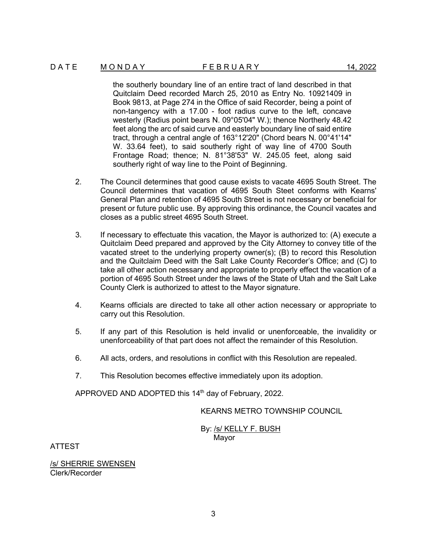### D A T E M O N D A Y T A R F E B R U A R Y 14, 2022

the southerly boundary line of an entire tract of land described in that Quitclaim Deed recorded March 25, 2010 as Entry No. 10921409 in Book 9813, at Page 274 in the Office of said Recorder, being a point of non-tangency with a 17.00 - foot radius curve to the left, concave westerly (Radius point bears N. 09°05'04" W.); thence Northerly 48.42 feet along the arc of said curve and easterly boundary line of said entire tract, through a central angle of 163°12'20" (Chord bears N. 00°41'14" W. 33.64 feet), to said southerly right of way line of 4700 South Frontage Road; thence; N. 81°38'53" W. 245.05 feet, along said southerly right of way line to the Point of Beginning.

- 2. The Council determines that good cause exists to vacate 4695 South Street. The Council determines that vacation of 4695 South Steet conforms with Kearns' General Plan and retention of 4695 South Street is not necessary or beneficial for present or future public use. By approving this ordinance, the Council vacates and closes as a public street 4695 South Street.
- 3. If necessary to effectuate this vacation, the Mayor is authorized to: (A) execute a Quitclaim Deed prepared and approved by the City Attorney to convey title of the vacated street to the underlying property owner(s); (B) to record this Resolution and the Quitclaim Deed with the Salt Lake County Recorder's Office; and (C) to take all other action necessary and appropriate to properly effect the vacation of a portion of 4695 South Street under the laws of the State of Utah and the Salt Lake County Clerk is authorized to attest to the Mayor signature.
- 4. Kearns officials are directed to take all other action necessary or appropriate to carry out this Resolution.
- 5. If any part of this Resolution is held invalid or unenforceable, the invalidity or unenforceability of that part does not affect the remainder of this Resolution.
- 6. All acts, orders, and resolutions in conflict with this Resolution are repealed.
- 7. This Resolution becomes effective immediately upon its adoption.

APPROVED AND ADOPTED this 14<sup>th</sup> day of February, 2022.

# KEARNS METRO TOWNSHIP COUNCIL

By: /s/ KELLY F. BUSH Mayor

ATTEST

/s/ SHERRIE SWENSEN Clerk/Recorder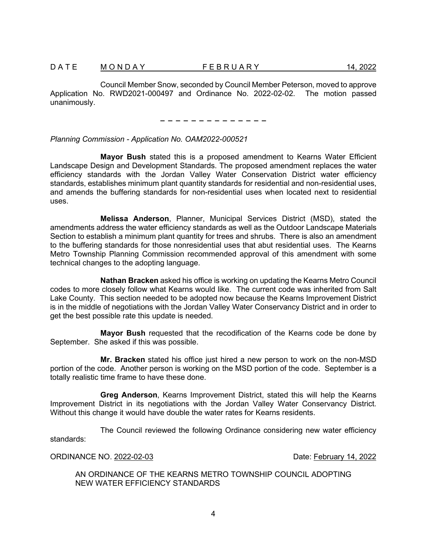Council Member Snow, seconded by Council Member Peterson, moved to approve Application No. RWD2021-000497 and Ordinance No. 2022-02-02. The motion passed unanimously.

− − − − − − − − − − − − − −

### *Planning Commission - Application No. OAM2022-000521*

**Mayor Bush** stated this is a proposed amendment to Kearns Water Efficient Landscape Design and Development Standards. The proposed amendment replaces the water efficiency standards with the Jordan Valley Water Conservation District water efficiency standards, establishes minimum plant quantity standards for residential and non-residential uses, and amends the buffering standards for non-residential uses when located next to residential uses.

**Melissa Anderson**, Planner, Municipal Services District (MSD), stated the amendments address the water efficiency standards as well as the Outdoor Landscape Materials Section to establish a minimum plant quantity for trees and shrubs. There is also an amendment to the buffering standards for those nonresidential uses that abut residential uses. The Kearns Metro Township Planning Commission recommended approval of this amendment with some technical changes to the adopting language.

**Nathan Bracken** asked his office is working on updating the Kearns Metro Council codes to more closely follow what Kearns would like. The current code was inherited from Salt Lake County. This section needed to be adopted now because the Kearns Improvement District is in the middle of negotiations with the Jordan Valley Water Conservancy District and in order to get the best possible rate this update is needed.

**Mayor Bush** requested that the recodification of the Kearns code be done by September. She asked if this was possible.

**Mr. Bracken** stated his office just hired a new person to work on the non-MSD portion of the code. Another person is working on the MSD portion of the code. September is a totally realistic time frame to have these done.

**Greg Anderson**, Kearns Improvement District, stated this will help the Kearns Improvement District in its negotiations with the Jordan Valley Water Conservancy District. Without this change it would have double the water rates for Kearns residents.

The Council reviewed the following Ordinance considering new water efficiency standards:

ORDINANCE NO. 2022-02-03 Date: February 14, 2022

AN ORDINANCE OF THE KEARNS METRO TOWNSHIP COUNCIL ADOPTING NEW WATER EFFICIENCY STANDARDS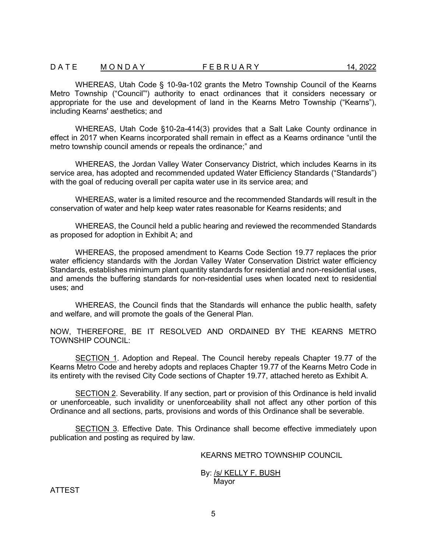WHEREAS, Utah Code § 10-9a-102 grants the Metro Township Council of the Kearns Metro Township ("Council"') authority to enact ordinances that it considers necessary or appropriate for the use and development of land in the Kearns Metro Township ("Kearns"), including Kearns' aesthetics; and

WHEREAS, Utah Code §10-2a-414(3) provides that a Salt Lake County ordinance in effect in 2017 when Kearns incorporated shall remain in effect as a Kearns ordinance "until the metro township council amends or repeals the ordinance;" and

WHEREAS, the Jordan Valley Water Conservancy District, which includes Kearns in its service area, has adopted and recommended updated Water Efficiency Standards ("Standards") with the goal of reducing overall per capita water use in its service area; and

WHEREAS, water is a limited resource and the recommended Standards will result in the conservation of water and help keep water rates reasonable for Kearns residents; and

WHEREAS, the Council held a public hearing and reviewed the recommended Standards as proposed for adoption in Exhibit A; and

WHEREAS, the proposed amendment to Kearns Code Section 19.77 replaces the prior water efficiency standards with the Jordan Valley Water Conservation District water efficiency Standards, establishes minimum plant quantity standards for residential and non-residential uses, and amends the buffering standards for non-residential uses when located next to residential uses; and

WHEREAS, the Council finds that the Standards will enhance the public health, safety and welfare, and will promote the goals of the General Plan.

NOW, THEREFORE, BE IT RESOLVED AND ORDAINED BY THE KEARNS METRO TOWNSHIP COUNCIL:

SECTION 1. Adoption and Repeal. The Council hereby repeals Chapter 19.77 of the Kearns Metro Code and hereby adopts and replaces Chapter 19.77 of the Kearns Metro Code in its entirety with the revised City Code sections of Chapter 19.77, attached hereto as Exhibit A.

SECTION 2. Severability. If any section, part or provision of this Ordinance is held invalid or unenforceable, such invalidity or unenforceability shall not affect any other portion of this Ordinance and all sections, parts, provisions and words of this Ordinance shall be severable.

SECTION 3. Effective Date. This Ordinance shall become effective immediately upon publication and posting as required by law.

### KEARNS METRO TOWNSHIP COUNCIL

#### By: /s/ KELLY F. BUSH Mayor

ATTEST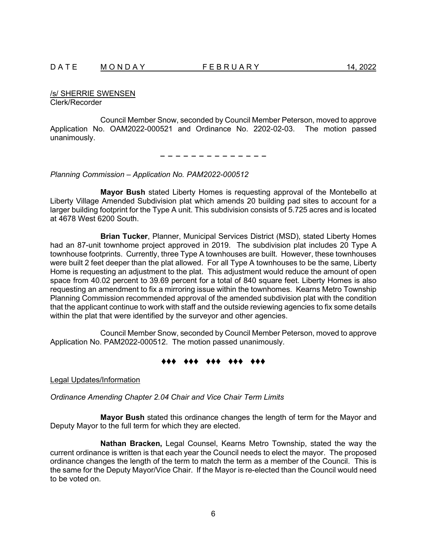/s/ SHERRIE SWENSEN Clerk/Recorder

Council Member Snow, seconded by Council Member Peterson, moved to approve Application No. OAM2022-000521 and Ordinance No. 2202-02-03. The motion passed unanimously.

− − − − − − − − − − − − − −

*Planning Commission – Application No. PAM2022-000512*

**Mayor Bush** stated Liberty Homes is requesting approval of the Montebello at Liberty Village Amended Subdivision plat which amends 20 building pad sites to account for a larger building footprint for the Type A unit. This subdivision consists of 5.725 acres and is located at 4678 West 6200 South.

**Brian Tucker**, Planner, Municipal Services District (MSD), stated Liberty Homes had an 87-unit townhome project approved in 2019. The subdivision plat includes 20 Type A townhouse footprints. Currently, three Type A townhouses are built. However, these townhouses were built 2 feet deeper than the plat allowed. For all Type A townhouses to be the same, Liberty Home is requesting an adjustment to the plat. This adjustment would reduce the amount of open space from 40.02 percent to 39.69 percent for a total of 840 square feet. Liberty Homes is also requesting an amendment to fix a mirroring issue within the townhomes. Kearns Metro Township Planning Commission recommended approval of the amended subdivision plat with the condition that the applicant continue to work with staff and the outside reviewing agencies to fix some details within the plat that were identified by the surveyor and other agencies.

Council Member Snow, seconded by Council Member Peterson, moved to approve Application No. PAM2022-000512. The motion passed unanimously.

#### ♦♦♦ ♦♦♦ ♦♦♦ ♦♦♦ ♦♦♦

Legal Updates/Information

*Ordinance Amending Chapter 2.04 Chair and Vice Chair Term Limits*

**Mayor Bush** stated this ordinance changes the length of term for the Mayor and Deputy Mayor to the full term for which they are elected.

**Nathan Bracken,** Legal Counsel, Kearns Metro Township, stated the way the current ordinance is written is that each year the Council needs to elect the mayor. The proposed ordinance changes the length of the term to match the term as a member of the Council. This is the same for the Deputy Mayor/Vice Chair. If the Mayor is re-elected than the Council would need to be voted on.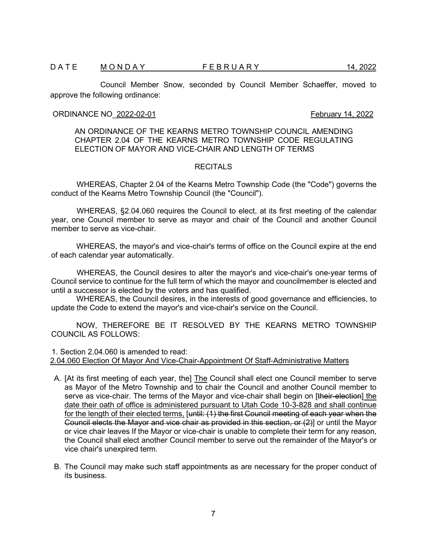Council Member Snow, seconded by Council Member Schaeffer, moved to approve the following ordinance:

# ORDINANCE NO 2022-02-01 **February 14, 2022**

AN ORDINANCE OF THE KEARNS METRO TOWNSHIP COUNCIL AMENDING CHAPTER 2.04 OF THE KEARNS METRO TOWNSHIP CODE REGULATING ELECTION OF MAYOR AND VICE-CHAIR AND LENGTH OF TERMS

#### RECITALS

WHEREAS, Chapter 2.04 of the Kearns Metro Township Code (the "Code") governs the conduct of the Kearns Metro Township Council (the "Council").

WHEREAS, §2.04.060 requires the Council to elect, at its first meeting of the calendar year, one Council member to serve as mayor and chair of the Council and another Council member to serve as vice-chair

WHEREAS, the mayor's and vice-chair's terms of office on the Council expire at the end of each calendar year automatically.

WHEREAS, the Council desires to alter the mayor's and vice-chair's one-year terms of Council service to continue for the full term of which the mayor and councilmember is elected and until a successor is elected by the voters and has qualified.

WHEREAS, the Council desires, in the interests of good governance and efficiencies, to update the Code to extend the mayor's and vice-chair's service on the Council.

NOW, THEREFORE BE IT RESOLVED BY THE KEARNS METRO TOWNSHIP COUNCIL AS FOLLOWS:

1. Section 2.04.060 is amended to read: 2.04.060 Election Of Mayor And Vice-Chair-Appointment Of Staff-Administrative Matters

- A. [At its first meeting of each year, the] The Council shall elect one Council member to serve as Mayor of the Metro Township and to chair the Council and another Council member to serve as vice-chair. The terms of the Mayor and vice-chair shall begin on [their-election] the date their oath of office is administered pursuant to Utah Code 10-3-828 and shall continue for the length of their elected terms, [until: (1) the first Council meeting of each year when the Council elects the Mayor and vice chair as provided in this section, or (2)] or until the Mayor or vice chair leaves If the Mayor or vice-chair is unable to complete their term for any reason, the Council shall elect another Council member to serve out the remainder of the Mayor's or vice chair's unexpired term.
- B. The Council may make such staff appointments as are necessary for the proper conduct of its business.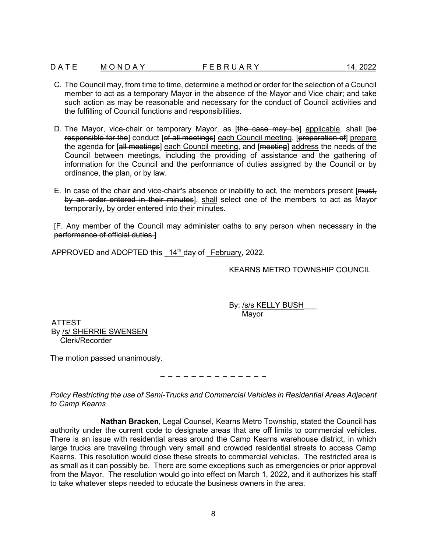### D A T E M O N D A Y T F E B R U A R Y A T 14, 2022

- C. The Council may, from time to time, determine a method or order for the selection of a Council member to act as a temporary Mayor in the absence of the Mayor and Vice chair; and take such action as may be reasonable and necessary for the conduct of Council activities and the fulfilling of Council functions and responsibilities.
- D. The Mayor, vice-chair or temporary Mayor, as [the case may be] applicable, shall [be responsible for the] conduct [of all meetings] each Council meeting, [preparation of] prepare the agenda for [all meetings] each Council meeting, and [meeting] address the needs of the Council between meetings, including the providing of assistance and the gathering of information for the Council and the performance of duties assigned by the Council or by ordinance, the plan, or by law.
- E. In case of the chair and vice-chair's absence or inability to act, the members present [must, by an order entered in their minutes], shall select one of the members to act as Mayor temporarily, by order entered into their minutes.

[F. Any member of the Council may administer oaths to any person when necessary in the performance of official duties.]

APPROVED and ADOPTED this  $14<sup>th</sup>$  day of February, 2022.

KEARNS METRO TOWNSHIP COUNCIL

By: <u>/s/s KELLY BUSH</u> Mayor

ATTEST By /s/ SHERRIE SWENSEN Clerk/Recorder

The motion passed unanimously.

# − − − − − − − − − − − − − −

*Policy Restricting the use of Semi-Trucks and Commercial Vehicles in Residential Areas Adjacent to Camp Kearns*

**Nathan Bracken**, Legal Counsel, Kearns Metro Township, stated the Council has authority under the current code to designate areas that are off limits to commercial vehicles. There is an issue with residential areas around the Camp Kearns warehouse district, in which large trucks are traveling through very small and crowded residential streets to access Camp Kearns. This resolution would close these streets to commercial vehicles. The restricted area is as small as it can possibly be. There are some exceptions such as emergencies or prior approval from the Mayor. The resolution would go into effect on March 1, 2022, and it authorizes his staff to take whatever steps needed to educate the business owners in the area.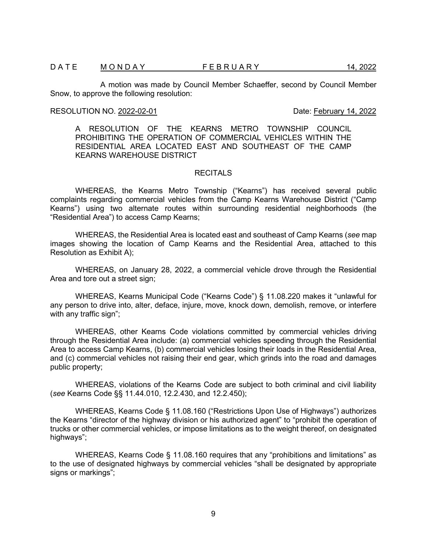A motion was made by Council Member Schaeffer, second by Council Member Snow, to approve the following resolution:

# RESOLUTION NO. 2022-02-01 **Date:** February 14, 2022

A RESOLUTION OF THE KEARNS METRO TOWNSHIP COUNCIL PROHIBITING THE OPERATION OF COMMERCIAL VEHICLES WITHIN THE RESIDENTIAL AREA LOCATED EAST AND SOUTHEAST OF THE CAMP KEARNS WAREHOUSE DISTRICT

### **RECITALS**

WHEREAS, the Kearns Metro Township ("Kearns") has received several public complaints regarding commercial vehicles from the Camp Kearns Warehouse District ("Camp Kearns") using two alternate routes within surrounding residential neighborhoods (the "Residential Area") to access Camp Kearns;

WHEREAS, the Residential Area is located east and southeast of Camp Kearns (*see* map images showing the location of Camp Kearns and the Residential Area, attached to this Resolution as Exhibit A);

WHEREAS, on January 28, 2022, a commercial vehicle drove through the Residential Area and tore out a street sign;

WHEREAS, Kearns Municipal Code ("Kearns Code") § 11.08.220 makes it "unlawful for any person to drive into, alter, deface, injure, move, knock down, demolish, remove, or interfere with any traffic sign";

WHEREAS, other Kearns Code violations committed by commercial vehicles driving through the Residential Area include: (a) commercial vehicles speeding through the Residential Area to access Camp Kearns, (b) commercial vehicles losing their loads in the Residential Area, and (c) commercial vehicles not raising their end gear, which grinds into the road and damages public property;

WHEREAS, violations of the Kearns Code are subject to both criminal and civil liability (*see* Kearns Code §§ 11.44.010, 12.2.430, and 12.2.450);

WHEREAS, Kearns Code § 11.08.160 ("Restrictions Upon Use of Highways") authorizes the Kearns "director of the highway division or his authorized agent" to "prohibit the operation of trucks or other commercial vehicles, or impose limitations as to the weight thereof, on designated highways";

WHEREAS, Kearns Code § 11.08.160 requires that any "prohibitions and limitations" as to the use of designated highways by commercial vehicles "shall be designated by appropriate signs or markings":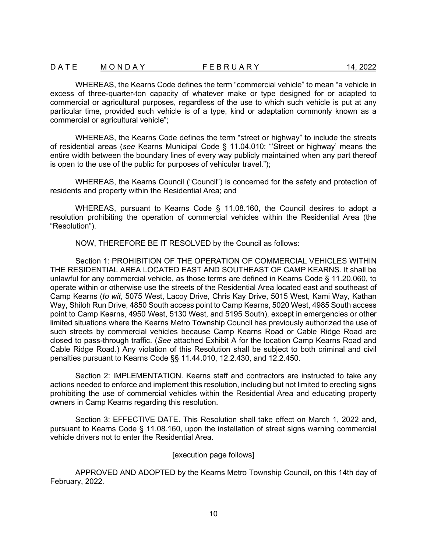WHEREAS, the Kearns Code defines the term "commercial vehicle" to mean "a vehicle in excess of three-quarter-ton capacity of whatever make or type designed for or adapted to commercial or agricultural purposes, regardless of the use to which such vehicle is put at any particular time, provided such vehicle is of a type, kind or adaptation commonly known as a commercial or agricultural vehicle";

WHEREAS, the Kearns Code defines the term "street or highway" to include the streets of residential areas (*see* Kearns Municipal Code § 11.04.010: "'Street or highway' means the entire width between the boundary lines of every way publicly maintained when any part thereof is open to the use of the public for purposes of vehicular travel.");

WHEREAS, the Kearns Council ("Council") is concerned for the safety and protection of residents and property within the Residential Area; and

WHEREAS, pursuant to Kearns Code § 11.08.160, the Council desires to adopt a resolution prohibiting the operation of commercial vehicles within the Residential Area (the "Resolution").

NOW, THEREFORE BE IT RESOLVED by the Council as follows:

Section 1: PROHIBITION OF THE OPERATION OF COMMERCIAL VEHICLES WITHIN THE RESIDENTIAL AREA LOCATED EAST AND SOUTHEAST OF CAMP KEARNS. It shall be unlawful for any commercial vehicle, as those terms are defined in Kearns Code § 11.20.060, to operate within or otherwise use the streets of the Residential Area located east and southeast of Camp Kearns (*to wit*, 5075 West, Lacoy Drive, Chris Kay Drive, 5015 West, Kami Way, Kathan Way, Shiloh Run Drive, 4850 South access point to Camp Kearns, 5020 West, 4985 South access point to Camp Kearns, 4950 West, 5130 West, and 5195 South), except in emergencies or other limited situations where the Kearns Metro Township Council has previously authorized the use of such streets by commercial vehicles because Camp Kearns Road or Cable Ridge Road are closed to pass-through traffic. (*See* attached Exhibit A for the location Camp Kearns Road and Cable Ridge Road.) Any violation of this Resolution shall be subject to both criminal and civil penalties pursuant to Kearns Code §§ 11.44.010, 12.2.430, and 12.2.450.

Section 2: IMPLEMENTATION. Kearns staff and contractors are instructed to take any actions needed to enforce and implement this resolution, including but not limited to erecting signs prohibiting the use of commercial vehicles within the Residential Area and educating property owners in Camp Kearns regarding this resolution.

Section 3: EFFECTIVE DATE. This Resolution shall take effect on March 1, 2022 and, pursuant to Kearns Code § 11.08.160, upon the installation of street signs warning commercial vehicle drivers not to enter the Residential Area.

#### [execution page follows]

APPROVED AND ADOPTED by the Kearns Metro Township Council, on this 14th day of February, 2022.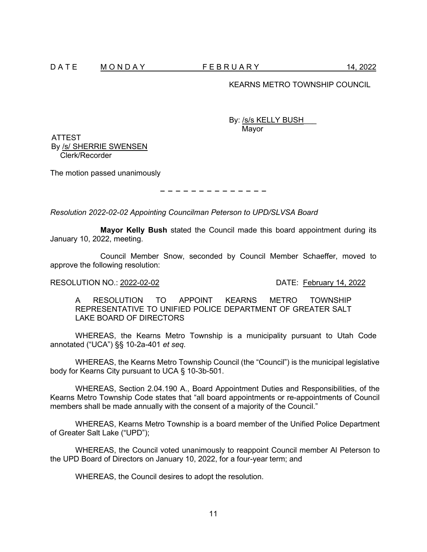### KEARNS METRO TOWNSHIP COUNCIL

By: <u>/s/s KELLY BUSH</u> Mayor

ATTEST By /s/ SHERRIE SWENSEN Clerk/Recorder

The motion passed unanimously

− − − − − − − − − − − − − −

*Resolution 2022-02-02 Appointing Councilman Peterson to UPD/SLVSA Board* 

**Mayor Kelly Bush** stated the Council made this board appointment during its January 10, 2022, meeting.

Council Member Snow, seconded by Council Member Schaeffer, moved to approve the following resolution:

#### RESOLUTION NO.: 2022-02-02 DATE: February 14, 2022

A RESOLUTION TO APPOINT KEARNS METRO TOWNSHIP REPRESENTATIVE TO UNIFIED POLICE DEPARTMENT OF GREATER SALT LAKE BOARD OF DIRECTORS

WHEREAS, the Kearns Metro Township is a municipality pursuant to Utah Code annotated ("UCA") §§ 10-2a-401 *et seq.*

WHEREAS, the Kearns Metro Township Council (the "Council") is the municipal legislative body for Kearns City pursuant to UCA § 10-3b-501.

WHEREAS, Section 2.04.190 A., Board Appointment Duties and Responsibilities, of the Kearns Metro Township Code states that "all board appointments or re-appointments of Council members shall be made annually with the consent of a majority of the Council."

WHEREAS, Kearns Metro Township is a board member of the Unified Police Department of Greater Salt Lake ("UPD");

WHEREAS, the Council voted unanimously to reappoint Council member Al Peterson to the UPD Board of Directors on January 10, 2022, for a four-year term; and

WHEREAS, the Council desires to adopt the resolution.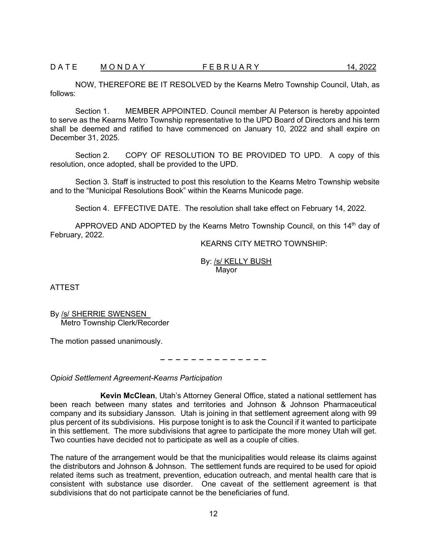NOW, THEREFORE BE IT RESOLVED by the Kearns Metro Township Council, Utah, as follows:

Section 1. MEMBER APPOINTED. Council member Al Peterson is hereby appointed to serve as the Kearns Metro Township representative to the UPD Board of Directors and his term shall be deemed and ratified to have commenced on January 10, 2022 and shall expire on December 31, 2025.

Section 2. COPY OF RESOLUTION TO BE PROVIDED TO UPD. A copy of this resolution, once adopted, shall be provided to the UPD.

Section 3. Staff is instructed to post this resolution to the Kearns Metro Township website and to the "Municipal Resolutions Book" within the Kearns Municode page.

Section 4. EFFECTIVE DATE. The resolution shall take effect on February 14, 2022.

APPROVED AND ADOPTED by the Kearns Metro Township Council, on this  $14<sup>th</sup>$  day of February, 2022.

KEARNS CITY METRO TOWNSHIP:

By: /s/ KELLY BUSH Mayor

ATTEST

By /s/ SHERRIE SWENSEN Metro Township Clerk/Recorder

The motion passed unanimously.

− − − − − − − − − − − − − −

*Opioid Settlement Agreement-Kearns Participation* 

**Kevin McClean**, Utah's Attorney General Office, stated a national settlement has been reach between many states and territories and Johnson & Johnson Pharmaceutical company and its subsidiary Jansson. Utah is joining in that settlement agreement along with 99 plus percent of its subdivisions. His purpose tonight is to ask the Council if it wanted to participate in this settlement. The more subdivisions that agree to participate the more money Utah will get. Two counties have decided not to participate as well as a couple of cities.

The nature of the arrangement would be that the municipalities would release its claims against the distributors and Johnson & Johnson. The settlement funds are required to be used for opioid related items such as treatment, prevention, education outreach, and mental health care that is consistent with substance use disorder. One caveat of the settlement agreement is that subdivisions that do not participate cannot be the beneficiaries of fund.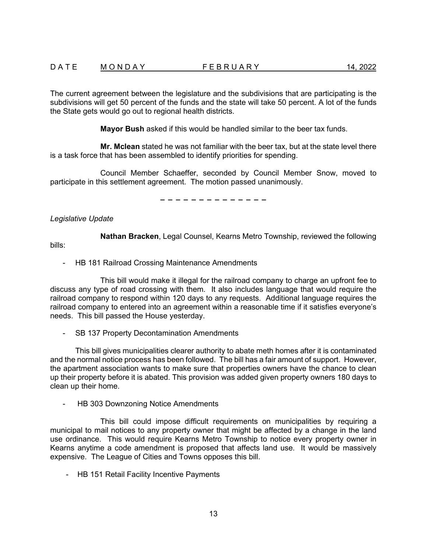The current agreement between the legislature and the subdivisions that are participating is the subdivisions will get 50 percent of the funds and the state will take 50 percent. A lot of the funds the State gets would go out to regional health districts.

**Mayor Bush** asked if this would be handled similar to the beer tax funds.

**Mr. Mclean** stated he was not familiar with the beer tax, but at the state level there is a task force that has been assembled to identify priorities for spending.

Council Member Schaeffer, seconded by Council Member Snow, moved to participate in this settlement agreement. The motion passed unanimously.

− − − − − − − − − − − − − −

*Legislative Update*

**Nathan Bracken**, Legal Counsel, Kearns Metro Township, reviewed the following

bills:

- HB 181 Railroad Crossing Maintenance Amendments

This bill would make it illegal for the railroad company to charge an upfront fee to discuss any type of road crossing with them. It also includes language that would require the railroad company to respond within 120 days to any requests. Additional language requires the railroad company to entered into an agreement within a reasonable time if it satisfies everyone's needs. This bill passed the House yesterday.

- SB 137 Property Decontamination Amendments

This bill gives municipalities clearer authority to abate meth homes after it is contaminated and the normal notice process has been followed. The bill has a fair amount of support. However, the apartment association wants to make sure that properties owners have the chance to clean up their property before it is abated. This provision was added given property owners 180 days to clean up their home.

HB 303 Downzoning Notice Amendments

This bill could impose difficult requirements on municipalities by requiring a municipal to mail notices to any property owner that might be affected by a change in the land use ordinance. This would require Kearns Metro Township to notice every property owner in Kearns anytime a code amendment is proposed that affects land use. It would be massively expensive. The League of Cities and Towns opposes this bill.

- HB 151 Retail Facility Incentive Payments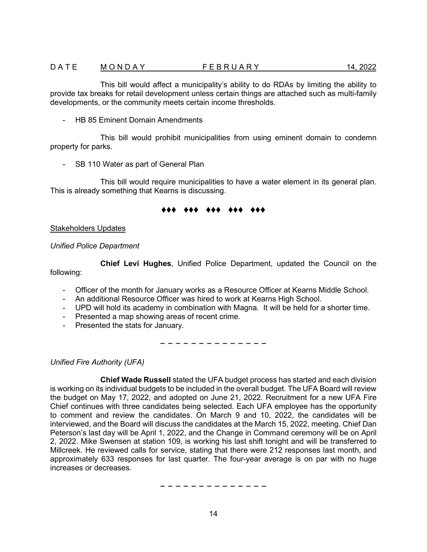### D A T E M O N D A Y T F E B R U A R Y A T 14, 2022

- HB 85 Eminent Domain Amendments

This bill would prohibit municipalities from using eminent domain to condemn property for parks.

- SB 110 Water as part of General Plan

This bill would require municipalities to have a water element in its general plan. This is already something that Kearns is discussing.

### ♦♦♦ ♦♦♦ ♦♦♦ ♦♦♦ ♦♦♦

Stakeholders Updates

# *Unified Police Department*

**Chief Levi Hughes**, Unified Police Department, updated the Council on the following:

- Officer of the month for January works as a Resource Officer at Kearns Middle School.
- An additional Resource Officer was hired to work at Kearns High School.
- UPD will hold its academy in combination with Magna. It will be held for a shorter time.
- Presented a map showing areas of recent crime.
- Presented the stats for January.

− − − − − − − − − − − − − −

*Unified Fire Authority (UFA)*

**Chief Wade Russell** stated the UFA budget process has started and each division is working on its individual budgets to be included in the overall budget. The UFA Board will review the budget on May 17, 2022, and adopted on June 21, 2022. Recruitment for a new UFA Fire Chief continues with three candidates being selected. Each UFA employee has the opportunity to comment and review the candidates. On March 9 and 10, 2022, the candidates will be interviewed, and the Board will discuss the candidates at the March 15, 2022, meeting. Chief Dan Peterson's last day will be April 1, 2022, and the Change in Command ceremony will be on April 2, 2022. Mike Swensen at station 109, is working his last shift tonight and will be transferred to Millcreek. He reviewed calls for service, stating that there were 212 responses last month, and approximately 633 responses for last quarter. The four-year average is on par with no huge increases or decreases.

− − − − − − − − − − − − − −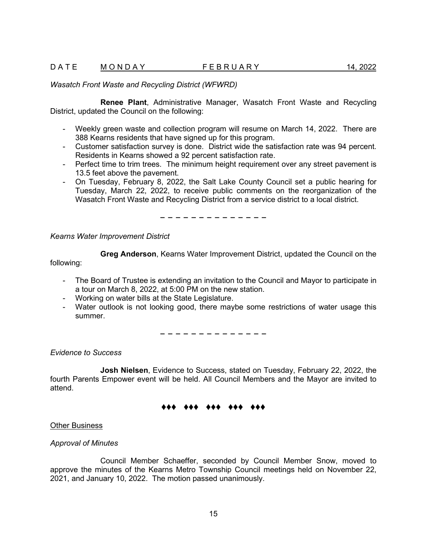### *Wasatch Front Waste and Recycling District (WFWRD)*

**Renee Plant**, Administrative Manager, Wasatch Front Waste and Recycling District, updated the Council on the following:

- Weekly green waste and collection program will resume on March 14, 2022. There are 388 Kearns residents that have signed up for this program.
- Customer satisfaction survey is done. District wide the satisfaction rate was 94 percent. Residents in Kearns showed a 92 percent satisfaction rate.
- Perfect time to trim trees. The minimum height requirement over any street pavement is 13.5 feet above the pavement.
- On Tuesday, February 8, 2022, the Salt Lake County Council set a public hearing for Tuesday, March 22, 2022, to receive public comments on the reorganization of the Wasatch Front Waste and Recycling District from a service district to a local district.

− − − − − − − − − − − − − −

*Kearns Water Improvement District*

**Greg Anderson**, Kearns Water Improvement District, updated the Council on the

following:

- The Board of Trustee is extending an invitation to the Council and Mayor to participate in a tour on March 8, 2022, at 5:00 PM on the new station.
- Working on water bills at the State Legislature.
- Water outlook is not looking good, there maybe some restrictions of water usage this summer.

− − − − − − − − − − − − − −

*Evidence to Success*

**Josh Nielsen**, Evidence to Success, stated on Tuesday, February 22, 2022, the fourth Parents Empower event will be held. All Council Members and the Mayor are invited to attend.

#### ♦♦♦ ♦♦♦ ♦♦♦ ♦♦♦ ♦♦♦

Other Business

#### *Approval of Minutes*

Council Member Schaeffer, seconded by Council Member Snow, moved to approve the minutes of the Kearns Metro Township Council meetings held on November 22, 2021, and January 10, 2022. The motion passed unanimously.